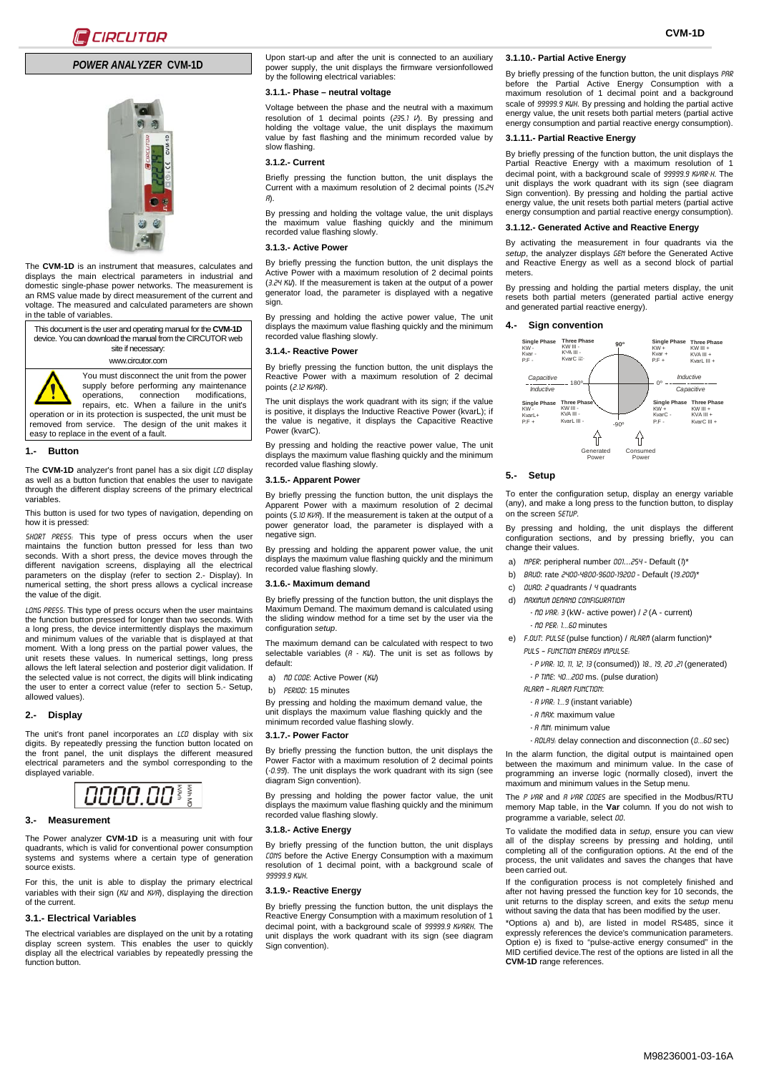# *POWER ANALYZER* **CVM-1D**



The **CVM-1D** is an instrument that measures, calculates and displays the main electrical parameters in industrial and domestic single-phase power networks. The measurement is an RMS value made by direct measurement of the current and voltage. The measured and calculated parameters are shown in the table of variables.

This document is the user and operating manual for the **CVM-1D** device. You can download the manual from the CIRCUTOR web site if necessary:

### www.circutor.com



You must disconnect the unit from the power supply before performing any maintenance<br>operations, connection modifications, operations, connection modifications, repairs, etc. When a failure in the unit's operation or in its protection is suspected, the unit must be

removed from service. The design of the unit makes it easy to replace in the event of a fault.

### **1.- Button**

The **CVM-1D** analyzer's front panel has a six digit LCD display as well as a button function that enables the user to navigate through the different display screens of the primary electrical variables.

This button is used for two types of navigation, depending on how it is pressed:

SHORT PRESS: This type of press occurs when the user maintains the function button pressed for less than two seconds. With a short press, the device moves through the different navigation screens, displaying all the electrical parameters on the display (refer to section [2.-](#page-0-0) [Display\)](#page-0-0). In numerical setting, the short press allows a cyclical increase the value of the digit.

LONG PRESS: This type of press occurs when the user maintains the function button pressed for longer than two seconds. With a long press, the device intermittently displays the maximum and minimum values of the variable that is displayed at that moment. With a long press on the partial power values, the unit resets these values. In numerical settings, long press allows the left lateral selection and posterior digit validation. If the selected value is not correct, the digits will blink indicating the user to enter a correct value (refer to section 5.- Setup, allowed values).

### <span id="page-0-0"></span>**2.- Display**

The unit's front panel incorporates an LCD display with six digits. By repeatedly pressing the function button located on the front panel, the unit displays the different measured electrical parameters and the symbol corresponding to the displayed variable.



#### **3.- Measurement**

The Power analyzer **CVM-1D** is a measuring unit with four quadrants, which is valid for conventional power consumption systems and systems where a certain type of generation source exists.

For this, the unit is able to display the primary electrical variables with their sign ( $KW$  and  $KVR$ ), displaying the direction of the current.

#### **3.1.- Electrical Variables**

The electrical variables are displayed on the unit by a rotating display screen system. This enables the user to quickly display all the electrical variables by repeatedly pressing the function button.

Upon start-up and after the unit is connected to an auxiliary power supply, the unit displays the firmware versionfollowed by the following electrical variables:

#### **3.1.1.- Phase – neutral voltage**

Voltage between the phase and the neutral with a maximum resolution of 1 decimal points ( $235.1$   $\nu$ ). By pressing and holding the voltage value, the unit displays the maximum value by fast flashing and the minimum recorded value by slow flashing.

### **3.1.2.- Current**

Briefly pressing the function button, the unit displays the Current with a maximum resolution of 2 decimal points (15.24 A).

By pressing and holding the voltage value, the unit displays the maximum value flashing quickly and the minimum recorded value flashing slowly.

### **3.1.3.- Active Power**

By briefly pressing the function button, the unit displays the Active Power with a maximum resolution of 2 decimal points (3.24 kW). If the measurement is taken at the output of a power generator load, the parameter is displayed with a negative sign.

By pressing and holding the active power value, The unit displays the maximum value flashing quickly and the minimum recorded value flashing slowly.

#### **3.1.4.- Reactive Power**

By briefly pressing the function button, the unit displays the Reactive Power with a maximum resolution of 2 decimal points (2.12 KVRR).

The unit displays the work quadrant with its sign; if the value is positive, it displays the Inductive Reactive Power (kvarL); if the value is negative, it displays the Capacitive Reactive Power (kvarC).

By pressing and holding the reactive power value, The unit By processing and notaling are readable power value, the unit recorded value flashing slowly.

#### **3.1.5.- Apparent Power**

By briefly pressing the function button, the unit displays the Apparent Power with a maximum resolution of 2 decimal points (5.10 KVR). If the measurement is taken at the output of a power generator load, the parameter is displayed with a negative sign.

By pressing and holding the apparent power value, the unit displays the maximum value flashing quickly and the minimum recorded value flashing slowly.

#### **3.1.6.- Maximum demand**

By briefly pressing of the function button, the unit displays the Maximum Demand. The maximum demand is calculated using the sliding window method for a time set by the user via the configuration *setup*.

The maximum demand can be calculated with respect to two selectable variables  $(A - KU)$ . The unit is set as follows by default:

- a) *flD CODE*: Active Power (KW)
- b) PERIOD: 15 minutes

By pressing and holding the maximum demand value, the unit displays the maximum value flashing quickly and the minimum recorded value flashing slowly.

#### **3.1.7.- Power Factor**

By briefly pressing the function button, the unit displays the Power Factor with a maximum resolution of 2 decimal points (-0.99). The unit displays the work quadrant with its sign (see diagra[m Sign convention\).](#page-0-1)

By pressing and holding the power factor value, the unit displays the maximum value flashing quickly and the minimum recorded value flashing slowly.

### **3.1.8.- Active Energy**

By briefly pressing of the function button, the unit displays cons before the Active Energy Consumption with a maximum resolution of 1 decimal point, with a background scale of 99999.9 kWh.

#### **3.1.9.- Reactive Energy**

By briefly pressing the function button, the unit displays the Reactive Energy Consumption with a maximum resolution of 1 decimal point, with a background scale of 99999.9 KVRRH. The unit displays the work quadrant with its sign (see diagram [Sign convention\)](#page-0-1).

#### **3.1.10.- Partial Active Energy**

By briefly pressing of the function button, the unit displays PRR before the Partial Active Energy Consumption with a maximum resolution of 1 decimal point and a background scale of 99999.9 kWh. By pressing and holding the partial active energy value, the unit resets both partial meters (partial active energy consumption and partial reactive energy consumption).

### **3.1.11.- Partial Reactive Energy**

By briefly pressing of the function button, the unit displays the Partial Reactive Energy with a maximum resolution of 1 decimal point, with a background scale of 99999.9 KVRR.H. The unit displays the work quadrant with its sign (see diagram [Sign convention\)](#page-0-1). By pressing and holding the partial active energy value, the unit resets both partial meters (partial active energy consumption and partial reactive energy consumption).

### **3.1.12.- Generated Active and Reactive Energy**

By activating the measurement in four quadrants via the setup, the analyzer displays GEN before the Generated Active and Reactive Energy as well as a second block of partial meters.

By pressing and holding the partial meters display, the unit resets both partial meters (generated partial active energy and generated partial reactive energy).

### <span id="page-0-1"></span>**4.- Sign convention**



#### **5.- Setup**

To enter the configuration setup, display an energy variable (any), and make a long press to the function button, to display on the screen SETUP.

- By pressing and holding, the unit displays the different configuration sections, and by pressing briefly, you can change their values.
	- a) NPER: peripheral number 001...254 Default (1)\*
	- b) BRUD: rate 2400-4800-9600-19200 Default (19.200)\*
	- c)  $QUBD: 2$  quadrants / 4 quadrants
	- d) maximum demand configuration
		- $-$  MD VBR: 3 (kW- active power) /  $\geq$  (A current) - MD per: 1...60 minutes
	- e) F.OUT: PULSE (pulse function) / BLBRfl (alarm function)\* PULS – FUNCtion energy impulse:
	- - P VAR: 10, 11, 12, 13 (consumed)) 18., 19, 20 ,21 (generated) - P TIME: 40...200 ms. (pulse duration)
		-
		- ALARM alarm function:
		- A VAR: 1...9 (instant variable)
		- R flRX: maximum value
		- A MIN: minimum value
		- ADLAY: delay connection and disconnection (0...60 sec)

In the alarm function, the digital output is maintained open between the maximum and minimum value. In the case of programming an inverse logic (normally closed), invert the maximum and minimum values in the Setup menu.

The  $P$  VRR and  $R$  VRR CODES are specified in the Modbus/RTU memory Map table, in the **Var** column. If you do not wish to programme a variable, select 00.

To validate the modified data in *setup*, ensure you can view all of the display screens by pressing and holding, until completing all of the configuration options. At the end of the process, the unit validates and saves the changes that have been carried out.

If the configuration process is not completely finished and after not having pressed the function key for 10 seconds, the unit returns to the display screen, and exits the *setup* menu without saving the data that has been modified by the user.

\*Options a) and b), are listed in model RS485, since it expressly references the device's communication parameters. Option e) is fixed to "pulse-active energy consumed" in the MID certified device.The rest of the options are listed in all the **CVM-1D** range references.